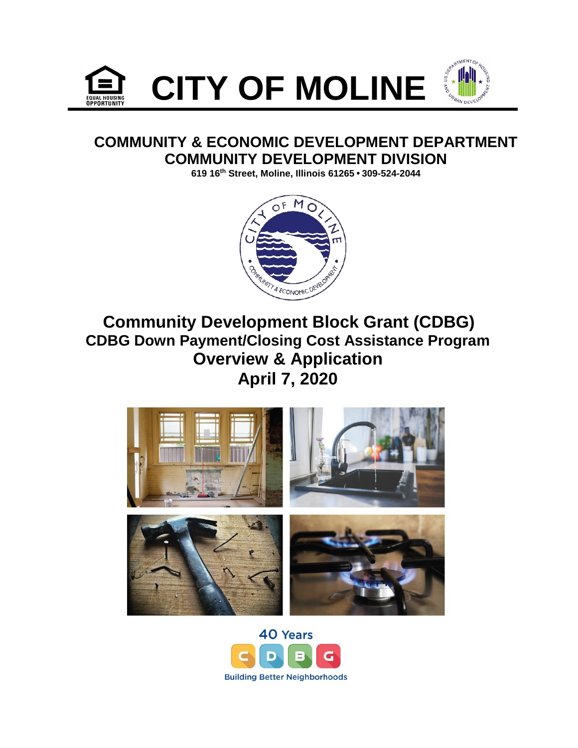



## **COMMUNITY & ECONOMIC DEVELOPMENT DEPARTMENT COMMUNITY DEVELOPMENT DIVISION**

**619 16th Street, Moline, Illinois 61265 • 309-524-2044**



# **Community Development Block Grant (CDBG) CDBG Down Payment/Closing Cost Assistance Program Overview & Application April 7, 2020**



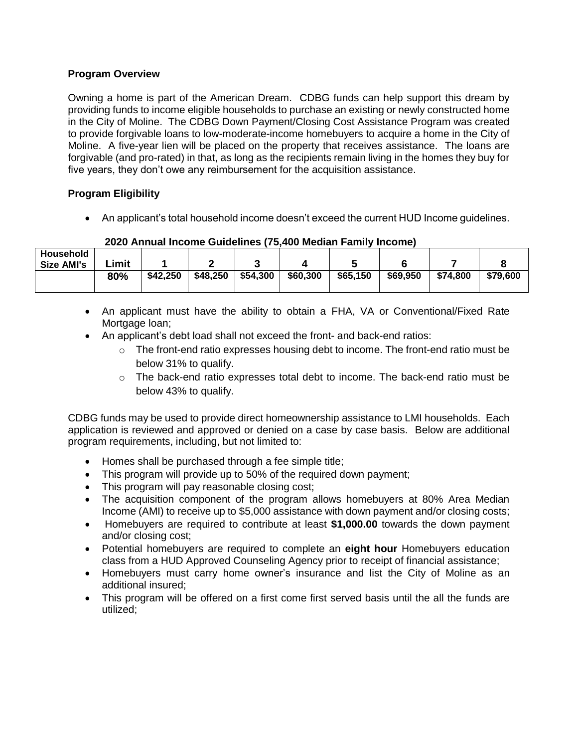### **Program Overview**

Owning a home is part of the American Dream. CDBG funds can help support this dream by providing funds to income eligible households to purchase an existing or newly constructed home in the City of Moline. The CDBG Down Payment/Closing Cost Assistance Program was created to provide forgivable loans to low-moderate-income homebuyers to acquire a home in the City of Moline. A five-year lien will be placed on the property that receives assistance. The loans are forgivable (and pro-rated) in that, as long as the recipients remain living in the homes they buy for five years, they don't owe any reimbursement for the acquisition assistance.

### **Program Eligibility**

An applicant's total household income doesn't exceed the current HUD Income guidelines.

|                   | <u>LULU MIIIKKI IIIVUIIIU UURUMIIUU (TUITUU IIIUURIII TUITIII) IIIVUIIIUJ</u> |          |          |          |          |          |          |          |          |
|-------------------|-------------------------------------------------------------------------------|----------|----------|----------|----------|----------|----------|----------|----------|
| Household         |                                                                               |          |          |          |          |          |          |          |          |
| <b>Size AMI's</b> | .imit                                                                         |          |          |          |          |          |          |          |          |
|                   | 80%                                                                           | \$42,250 | \$48,250 | \$54,300 | \$60,300 | \$65,150 | \$69,950 | \$74,800 | \$79.600 |
|                   |                                                                               |          |          |          |          |          |          |          |          |

#### **2020 Annual Income Guidelines (75,400 Median Family Income)**

- An applicant must have the ability to obtain a FHA, VA or Conventional/Fixed Rate Mortgage loan;
- An applicant's debt load shall not exceed the front- and back-end ratios:
	- $\circ$  The front-end ratio expresses housing debt to income. The front-end ratio must be below 31% to qualify.
	- $\circ$  The back-end ratio expresses total debt to income. The back-end ratio must be below 43% to qualify.

CDBG funds may be used to provide direct homeownership assistance to LMI households. Each application is reviewed and approved or denied on a case by case basis. Below are additional program requirements, including, but not limited to:

- Homes shall be purchased through a fee simple title;
- This program will provide up to 50% of the required down payment;
- This program will pay reasonable closing cost;
- The acquisition component of the program allows homebuyers at 80% Area Median Income (AMI) to receive up to \$5,000 assistance with down payment and/or closing costs;
- Homebuyers are required to contribute at least **\$1,000.00** towards the down payment and/or closing cost;
- Potential homebuyers are required to complete an **eight hour** Homebuyers education class from a HUD Approved Counseling Agency prior to receipt of financial assistance;
- Homebuyers must carry home owner's insurance and list the City of Moline as an additional insured;
- This program will be offered on a first come first served basis until the all the funds are utilized;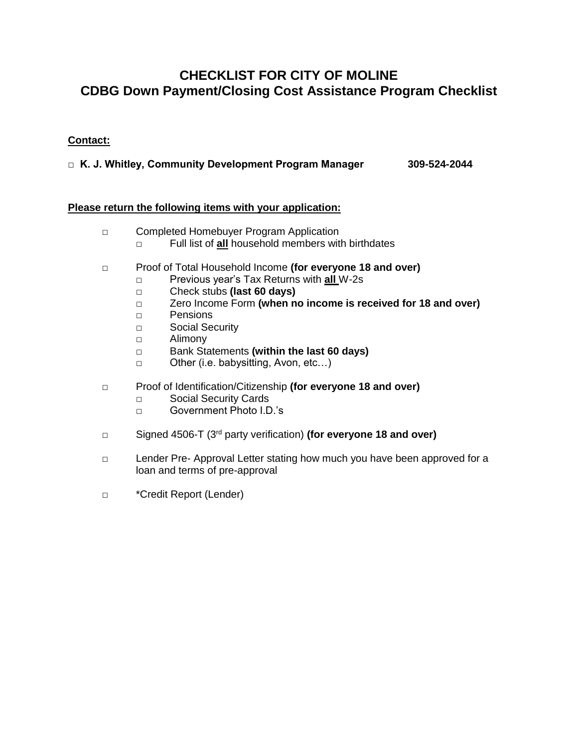## **CHECKLIST FOR CITY OF MOLINE CDBG Down Payment/Closing Cost Assistance Program Checklist**

## **Contact:**

**□ K. J. Whitley, Community Development Program Manager 309-524-2044**

#### **Please return the following items with your application:**

- □ Completed Homebuyer Program Application
	- □ Full list of **all** household members with birthdates
- □ Proof of Total Household Income **(for everyone 18 and over)**
	- □ Previous year's Tax Returns with **all** W-2s
	- □ Check stubs **(last 60 days)**
	- □ Zero Income Form **(when no income is received for 18 and over)**
	- □ Pensions
	- □ Social Security
	- □ Alimony
	- □ Bank Statements **(within the last 60 days)**
	- □ Other (i.e. babysitting, Avon, etc…)
- □ Proof of Identification/Citizenship **(for everyone 18 and over)**
	- □ Social Security Cards
	- □ Government Photo I.D.'s
- □ Signed 4506-T (3rd party verification) **(for everyone 18 and over)**
- □ Lender Pre- Approval Letter stating how much you have been approved for a loan and terms of pre-approval
- □ \*Credit Report (Lender)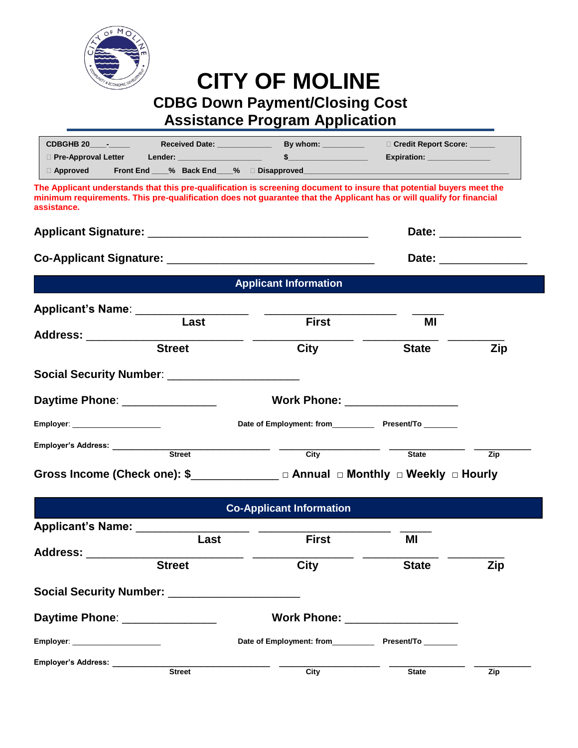

# **CITY OF MOLINE CDBG Down Payment/Closing Cost Assistance Program Application**

| CDBGHB 20 -                                                                                                                                                                                                                                                 |                                  | □ Credit Report Score: _____                                                                                                                                                                                                   |     |
|-------------------------------------------------------------------------------------------------------------------------------------------------------------------------------------------------------------------------------------------------------------|----------------------------------|--------------------------------------------------------------------------------------------------------------------------------------------------------------------------------------------------------------------------------|-----|
| $\Box$ Pre-Approval Letter                                                                                                                                                                                                                                  | $\sim$                           | Expiration: ________________                                                                                                                                                                                                   |     |
| $\Box$ Approved                                                                                                                                                                                                                                             |                                  |                                                                                                                                                                                                                                |     |
| The Applicant understands that this pre-qualification is screening document to insure that potential buyers meet the<br>minimum requirements. This pre-qualification does not guarantee that the Applicant has or will qualify for financial<br>assistance. |                                  |                                                                                                                                                                                                                                |     |
|                                                                                                                                                                                                                                                             |                                  | Date: ______________                                                                                                                                                                                                           |     |
|                                                                                                                                                                                                                                                             |                                  | Date: the contract of the contract of the contract of the contract of the contract of the contract of the contract of the contract of the contract of the contract of the contract of the contract of the contract of the cont |     |
|                                                                                                                                                                                                                                                             | <b>Applicant Information</b>     |                                                                                                                                                                                                                                |     |
| Applicant's Name: _____________________                                                                                                                                                                                                                     |                                  |                                                                                                                                                                                                                                |     |
| Last                                                                                                                                                                                                                                                        | <b>First</b>                     | МI                                                                                                                                                                                                                             |     |
| Address: _______________________                                                                                                                                                                                                                            |                                  |                                                                                                                                                                                                                                |     |
| <b>Street</b>                                                                                                                                                                                                                                               | City                             | <b>State</b>                                                                                                                                                                                                                   | Zip |
| Social Security Number: ______________________                                                                                                                                                                                                              |                                  |                                                                                                                                                                                                                                |     |
| Daytime Phone: ________________                                                                                                                                                                                                                             | Work Phone: __________________   |                                                                                                                                                                                                                                |     |
| Employer: _______________________                                                                                                                                                                                                                           |                                  |                                                                                                                                                                                                                                |     |
|                                                                                                                                                                                                                                                             |                                  |                                                                                                                                                                                                                                |     |
| <b>Street</b>                                                                                                                                                                                                                                               | City                             | <b>State</b>                                                                                                                                                                                                                   | Zip |
| Gross Income (Check one): \$______________ □ Annual □ Monthly □ Weekly □ Hourly                                                                                                                                                                             |                                  |                                                                                                                                                                                                                                |     |
|                                                                                                                                                                                                                                                             | <b>Co-Applicant Information</b>  |                                                                                                                                                                                                                                |     |
| Applicant's Name: ______                                                                                                                                                                                                                                    |                                  |                                                                                                                                                                                                                                |     |
| Last                                                                                                                                                                                                                                                        | <b>First</b>                     | ΜI                                                                                                                                                                                                                             |     |
| Address: ________                                                                                                                                                                                                                                           |                                  |                                                                                                                                                                                                                                |     |
| <b>Street</b>                                                                                                                                                                                                                                               | <b>City</b>                      | <b>State</b>                                                                                                                                                                                                                   | Zip |
| Social Security Number: _______________________                                                                                                                                                                                                             |                                  |                                                                                                                                                                                                                                |     |
| Daytime Phone: 2008                                                                                                                                                                                                                                         | Work Phone: ____________________ |                                                                                                                                                                                                                                |     |
|                                                                                                                                                                                                                                                             |                                  | Date of Employment: from Present/To                                                                                                                                                                                            |     |

**Employer's Address:** \_\_\_\_\_\_\_\_\_\_\_\_\_\_\_\_\_\_\_\_\_\_\_\_\_ \_\_\_\_\_\_\_\_\_\_\_\_\_\_\_\_ \_\_\_\_\_\_\_\_\_\_\_\_ \_\_\_\_\_\_\_\_\_ **Example 2 Street Street City** City State State Zip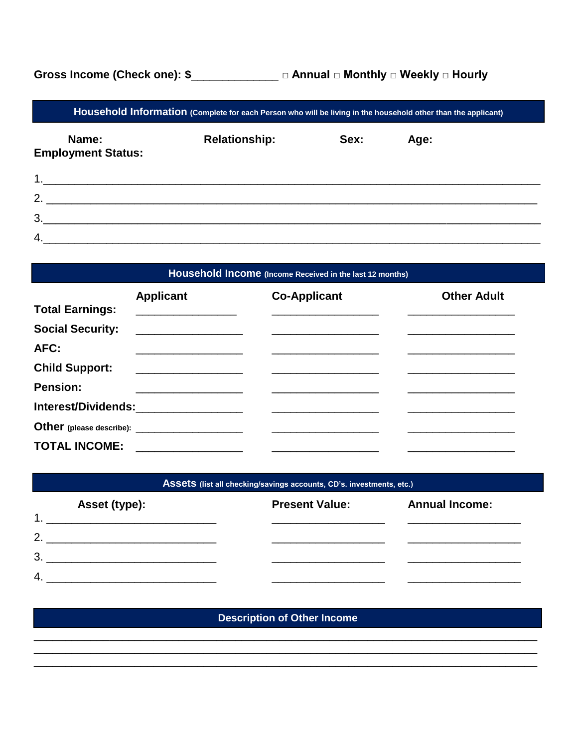Gross Income (Check one): \$\_\_\_\_\_\_\_\_\_\_\_\_\_ □ Annual □ Monthly □ Weekly □ Hourly

Household Information (Complete for each Person who will be living in the household other than the applicant)

| Name:<br><b>Employment Status:</b> | <b>Relationship:</b> | Sex: | Age: |
|------------------------------------|----------------------|------|------|
| 1                                  |                      |      |      |
| $\overline{2}$ .                   |                      |      |      |
| 3 <sub>o</sub>                     |                      |      |      |
| 4.                                 |                      |      |      |

## Household Income (Income Received in the last 12 months)

|                         | <b>Applicant</b>                                                                                                                                                                                                                                                                                                                                                                                                                                                                               | <b>Co-Applicant</b> | <b>Other Adult</b> |
|-------------------------|------------------------------------------------------------------------------------------------------------------------------------------------------------------------------------------------------------------------------------------------------------------------------------------------------------------------------------------------------------------------------------------------------------------------------------------------------------------------------------------------|---------------------|--------------------|
| <b>Total Earnings:</b>  | $\begin{tabular}{c} \multicolumn{2}{c} {\textbf{1}} & \multicolumn{2}{c} {\textbf{2}} & \multicolumn{2}{c} {\textbf{3}} & \multicolumn{2}{c} {\textbf{4}} \\ \multicolumn{2}{c} {\textbf{5}} & \multicolumn{2}{c} {\textbf{6}} & \multicolumn{2}{c} {\textbf{6}} & \multicolumn{2}{c} {\textbf{7}} \\ \multicolumn{2}{c} {\textbf{6}} & \multicolumn{2}{c} {\textbf{6}} & \multicolumn{2}{c} {\textbf{7}} \\ \multicolumn{2}{c} {\textbf{6}} & \multicolumn{2}{c} {\textbf{6}} & \multicolumn$ |                     |                    |
| <b>Social Security:</b> |                                                                                                                                                                                                                                                                                                                                                                                                                                                                                                |                     |                    |
| AFC:                    |                                                                                                                                                                                                                                                                                                                                                                                                                                                                                                |                     |                    |
| <b>Child Support:</b>   |                                                                                                                                                                                                                                                                                                                                                                                                                                                                                                |                     |                    |
| <b>Pension:</b>         |                                                                                                                                                                                                                                                                                                                                                                                                                                                                                                |                     |                    |
|                         |                                                                                                                                                                                                                                                                                                                                                                                                                                                                                                |                     |                    |
|                         |                                                                                                                                                                                                                                                                                                                                                                                                                                                                                                |                     |                    |
| <b>TOTAL INCOME:</b>    |                                                                                                                                                                                                                                                                                                                                                                                                                                                                                                |                     |                    |

#### Assets (list all checking/savings accounts, CD's. investments, etc.)

| 4 | Asset (type): | <b>Present Value:</b> | <b>Annual Income:</b> |
|---|---------------|-----------------------|-----------------------|
| າ |               |                       |                       |
| 3 |               |                       |                       |
| 4 |               |                       |                       |

## **Description of Other Income**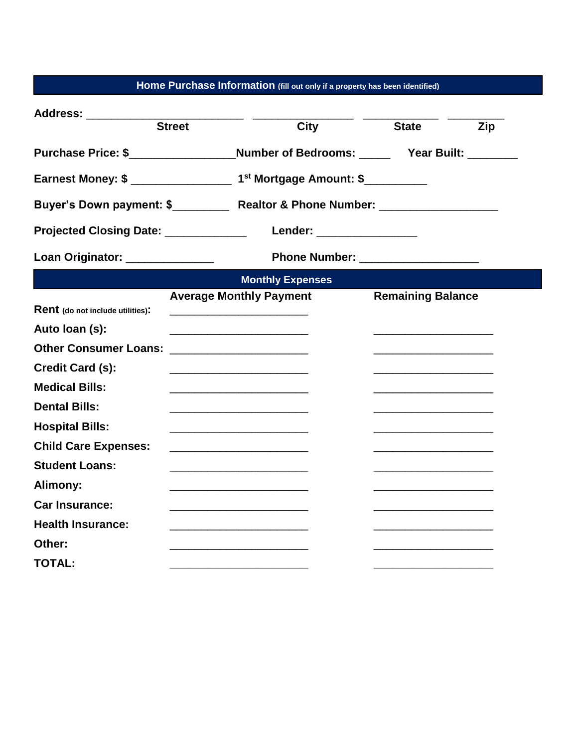|  |  |  |  | Home Purchase Information (fill out only if a property has been identified) |  |
|--|--|--|--|-----------------------------------------------------------------------------|--|
|--|--|--|--|-----------------------------------------------------------------------------|--|

| Address: __________                  |               |                                                                                                                      |                           |                                   |            |
|--------------------------------------|---------------|----------------------------------------------------------------------------------------------------------------------|---------------------------|-----------------------------------|------------|
|                                      | <b>Street</b> | City                                                                                                                 |                           | <b>State</b>                      | <b>Zip</b> |
|                                      |               | Purchase Price: \$ Number of Bedrooms: Year Built:                                                                   |                           |                                   |            |
|                                      |               |                                                                                                                      |                           |                                   |            |
|                                      |               |                                                                                                                      |                           |                                   |            |
| Projected Closing Date: ____________ |               |                                                                                                                      | Lender: _________________ |                                   |            |
| Loan Originator: _______________     |               |                                                                                                                      |                           | Phone Number: ___________________ |            |
|                                      |               | <b>Monthly Expenses</b>                                                                                              |                           |                                   |            |
| Rent (do not include utilities):     |               | <b>Average Monthly Payment</b><br><u> 1986 - Johann John Stone, Amerikaansk politiker (</u>                          |                           | <b>Remaining Balance</b>          |            |
| Auto Ioan (s):                       |               |                                                                                                                      |                           |                                   |            |
| <b>Other Consumer Loans:</b>         |               |                                                                                                                      |                           |                                   |            |
| Credit Card (s):                     |               |                                                                                                                      |                           |                                   |            |
| <b>Medical Bills:</b>                |               |                                                                                                                      |                           |                                   |            |
| <b>Dental Bills:</b>                 |               |                                                                                                                      |                           |                                   |            |
| <b>Hospital Bills:</b>               |               | <u> 1989 - Johann Stein, mars an deutscher Stein und der Stein und der Stein und der Stein und der Stein und der</u> |                           |                                   |            |
| <b>Child Care Expenses:</b>          |               |                                                                                                                      |                           |                                   |            |
| <b>Student Loans:</b>                |               |                                                                                                                      |                           |                                   |            |
| Alimony:                             |               |                                                                                                                      |                           |                                   |            |
| <b>Car Insurance:</b>                |               |                                                                                                                      |                           |                                   |            |
| <b>Health Insurance:</b>             |               |                                                                                                                      |                           |                                   |            |
| Other:                               |               |                                                                                                                      |                           |                                   |            |
| <b>TOTAL:</b>                        |               |                                                                                                                      |                           |                                   |            |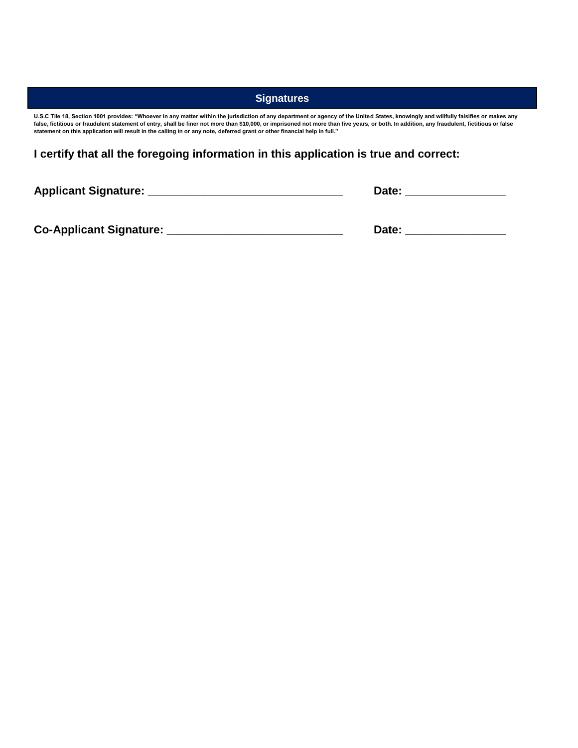#### **Signatures**

**U.S.C Tile 18, Section 1001 provides: "Whoever in any matter within the jurisdiction of any department or agency of the United States, knowingly and willfully falsifies or makes any false, fictitious or fraudulent statement of entry, shall be finer not more than \$10,000, or imprisoned not more than five years, or both. In addition, any fraudulent, fictitious or false statement on this application will result in the calling in or any note, deferred grant or other financial help in full."**

**I certify that all the foregoing information in this application is true and correct:**

**Applicant Signature: \_\_\_\_\_\_\_\_\_\_\_\_\_\_\_\_\_\_\_\_\_\_\_\_\_\_\_\_\_\_\_ Date: \_\_\_\_\_\_\_\_\_\_\_\_\_\_\_\_**

**Co-Applicant Signature: \_\_\_\_\_\_\_\_\_\_\_\_\_\_\_\_\_\_\_\_\_\_\_\_\_\_\_\_ Date: \_\_\_\_\_\_\_\_\_\_\_\_\_\_\_\_**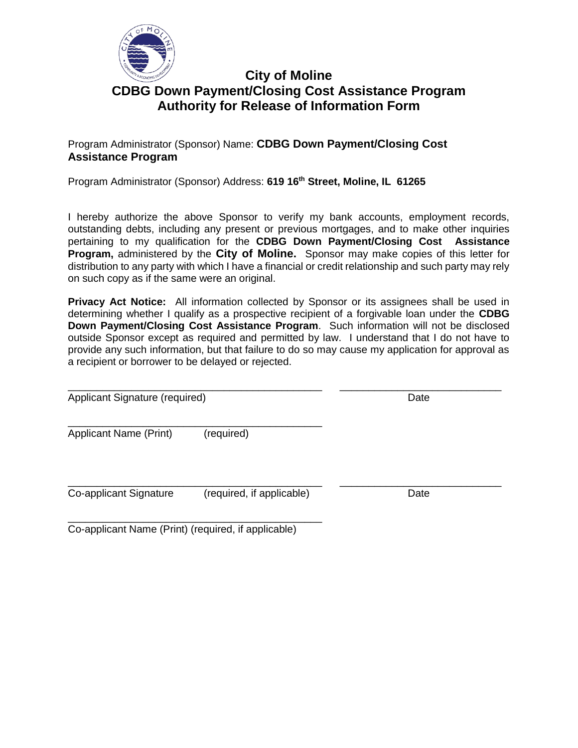

## **City of Moline CDBG Down Payment/Closing Cost Assistance Program Authority for Release of Information Form**

## Program Administrator (Sponsor) Name: **CDBG Down Payment/Closing Cost Assistance Program**

Program Administrator (Sponsor) Address: **619 16th Street, Moline, IL 61265**

I hereby authorize the above Sponsor to verify my bank accounts, employment records, outstanding debts, including any present or previous mortgages, and to make other inquiries pertaining to my qualification for the **CDBG Down Payment/Closing Cost Assistance Program,** administered by the **City of Moline.** Sponsor may make copies of this letter for distribution to any party with which I have a financial or credit relationship and such party may rely on such copy as if the same were an original.

**Privacy Act Notice:** All information collected by Sponsor or its assignees shall be used in determining whether I qualify as a prospective recipient of a forgivable loan under the **CDBG Down Payment/Closing Cost Assistance Program**. Such information will not be disclosed outside Sponsor except as required and permitted by law. I understand that I do not have to provide any such information, but that failure to do so may cause my application for approval as a recipient or borrower to be delayed or rejected.

\_\_\_\_\_\_\_\_\_\_\_\_\_\_\_\_\_\_\_\_\_\_\_\_\_\_\_\_\_\_\_\_\_\_\_\_\_\_\_\_\_\_\_\_ \_\_\_\_\_\_\_\_\_\_\_\_\_\_\_\_\_\_\_\_\_\_\_\_\_\_\_\_ Applicant Signature (required) and the control of the Date of Date of Date of the Date of Date of the Date of Date of the Date of the Date of the Date of the Date of the Date of the Date of the Date of the Date of the Date

\_\_\_\_\_\_\_\_\_\_\_\_\_\_\_\_\_\_\_\_\_\_\_\_\_\_\_\_\_\_\_\_\_\_\_\_\_\_\_\_\_\_\_\_ Applicant Name (Print) (required)

\_\_\_\_\_\_\_\_\_\_\_\_\_\_\_\_\_\_\_\_\_\_\_\_\_\_\_\_\_\_\_\_\_\_\_\_\_\_\_\_\_\_\_\_ \_\_\_\_\_\_\_\_\_\_\_\_\_\_\_\_\_\_\_\_\_\_\_\_\_\_\_\_ Co-applicant Signature (required, if applicable) Date

\_\_\_\_\_\_\_\_\_\_\_\_\_\_\_\_\_\_\_\_\_\_\_\_\_\_\_\_\_\_\_\_\_\_\_\_\_\_\_\_\_\_\_\_ Co-applicant Name (Print) (required, if applicable)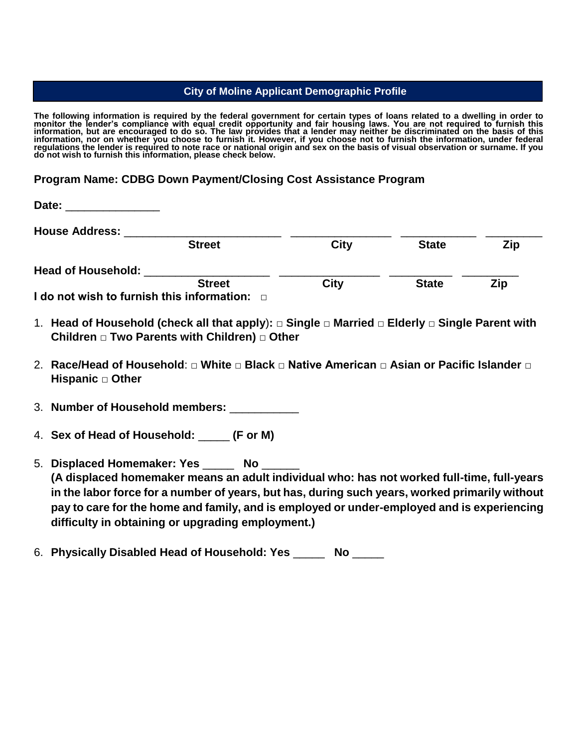#### **City of Moline Applicant Demographic Profile**

**The following information is required by the federal government for certain types of loans related to a dwelling in order to monitor the lender's compliance with equal credit opportunity and fair housing laws. You are not required to furnish this information, but are encouraged to do so. The law provides that a lender may neither be discriminated on the basis of this information, nor on whether you choose to furnish it. However, if you choose not to furnish the information, under federal regulations the lender is required to note race or national origin and sex on the basis of visual observation or surname. If you do not wish to furnish this information, please check below.**

### **Program Name: CDBG Down Payment/Closing Cost Assistance Program**

| Date:                     |                                                                                                                                                           |             |              |     |
|---------------------------|-----------------------------------------------------------------------------------------------------------------------------------------------------------|-------------|--------------|-----|
| <b>House Address:</b>     |                                                                                                                                                           |             |              |     |
|                           | <b>Street</b>                                                                                                                                             | <b>City</b> | <b>State</b> | Zip |
| <b>Head of Household:</b> |                                                                                                                                                           |             |              |     |
|                           | <b>Street</b><br>I do not wish to furnish this information: $\Box$                                                                                        | <b>City</b> | <b>State</b> | Zip |
|                           | 1. Head of Household (check all that apply): □ Single □ Married □ Elderly □ Single Parent with<br>Children $\Box$ Two Parents with Children) $\Box$ Other |             |              |     |
| Hispanic $\Box$ Other     | 2. Race/Head of Household: □ White □ Black □ Native American □ Asian or Pacific Islander □                                                                |             |              |     |

3. **Number of Household members:** \_\_\_\_\_\_\_\_\_\_\_

4. **Sex of Head of Household:** \_\_\_\_\_ **(F or M)**

5. **Displaced Homemaker: Yes** \_\_\_\_\_ **No** \_\_\_\_\_\_ **(A displaced homemaker means an adult individual who: has not worked full-time, full-years in the labor force for a number of years, but has, during such years, worked primarily without pay to care for the home and family, and is employed or under-employed and is experiencing difficulty in obtaining or upgrading employment.)**

6. **Physically Disabled Head of Household: Yes** \_\_\_\_\_ **No** \_\_\_\_\_